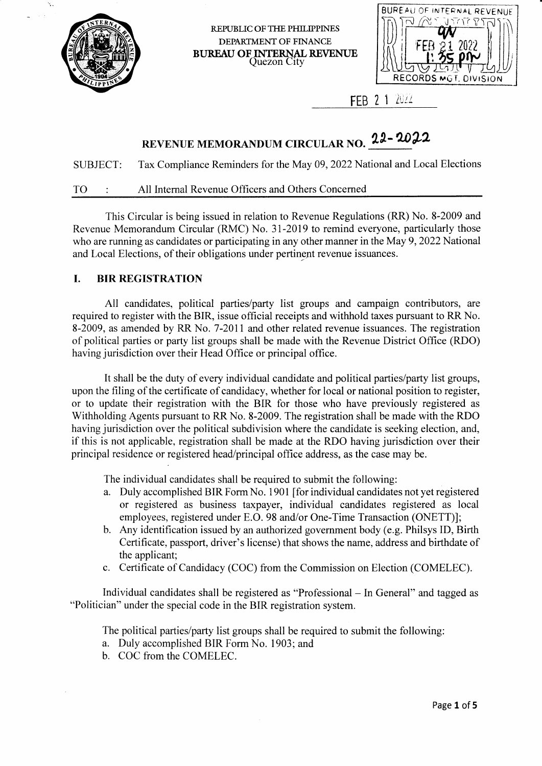

х,

REPUBLIC OF THE PHILIPPINES DEPARTMENT OF FINANCE BUREAU OF INANCE<br>BUREAU OF INTERNAL REVENUE AND FEB 21 2022 Quezon City



FEB 2 1 2022

# REVENUE MEMORANDUM CIRCULAR NO. 22-2022

SUBJECT: Tax Compliance Reminders for the May 09,2022 National and Local Elections

# TO : All Internal Revenue Officers and Others Concerned

This Circular is being issued in relation to Revenue Regulations (RR) No. 8-2009 and Revenue Memorandum Circular (RMC) No. 3 l-2019 to remind everyone, particularly those who are running as candidates or participating in any other manner in the May 9, 2022 National and Local Elections, of their obligations under pertinent revenue issuances.

# I. BIR REGISTRATION

All candidates, political parties/party list groups and campaign contributors, are required to register with the BIR, issue official receipts and withhold taxes pursuant to RR No. 8-2009, as amended by RR No. 7-2011 and other related revenue issuances. The registration of political parties or party list groups shall be made with the Revenue District Office (RDO) having jurisdiction over their Head Office or principal office.

It shall be the duty of every individual candidate and political parties/party list groups, upon the filing of the certificate of candidacy, whether for local or national position to register, or to update their registration with the BIR for those who have previously registered as Withholding Agents pursuant to RR No. 8-2009. The registration shall be made with the RDO having jurisdiction over the political subdivision where the candidate is seeking election, and, if this is not applicable, registration shall be made at the RDO having jurisdiction over their principal residence or registered head/principal office address, as the case may be.

The individual candidates shall be required to submit the following:

- a. Duly accomplished BIR Form No. I 901 [for individual candidates not yet registered or registered as business taxpayer, individual candidates registered as local employees, registered under E.O. 98 and/or One-Time Transaction (ONETT)];
- b. Any identification issued by an authorized government body (e.g. Philsys ID, Birth Certificate, passport, driver's license) that shows the name, address and birthdate of the applicant;
- c. Certificate of Candidacy (COC) from the Commission on Election (COMELEC).

Individual candidates shall be registered as "Professional - In General" and tagged as "Politician" under the special code in the BIR registration system.

The political parties/party list groups shall be required to submit the following:

- a. Duly accomplished BIR Form No. 1903; and
- b. COC from the COMELEC.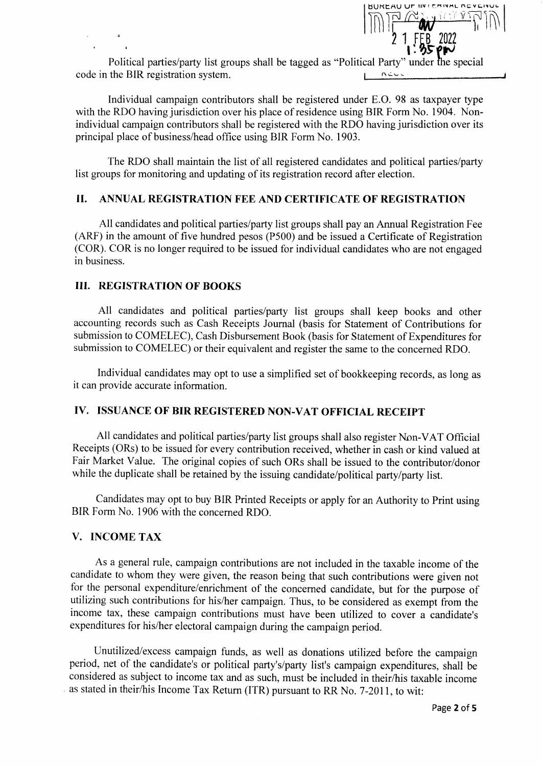

Political parties/party list groups shall be tagged as "Political Party" under the special code in the BIR registration system.  $ncoc$ 

Individual campaign contributors shall be registered under E.O. 98 as taxpayer type with the RDO having jurisdiction over his place of residence using BIR Form No. 1904. Nonindividual campaign contributors shall be registered with the RDO having jurisdiction over its principal place of business/head office using BIR Form No. 1903.

The RDO shall maintain the list of all registered candidates and political parties/party list groups for monitoring and updating of its registration record after election.

## II. ANNUAL REGISTRATION FEE AND CERTIFICATE OF REGISTRATION

All candidates and political parties/party list groups shall pay an Annual Registration Fee (ARF) in the amount of five hundred pesos (P500) and be issued a Certificate of Registration (COR). COR is no longer required to be issued for individual candidates who are not engaged in business.

#### III. REGISTRATION OF BOOKS

All candidates and political parties/party list groups shall keep books and other accounting records such as Cash Receipts Journal (basis for Statement of Contributions for submission to COMELEC), Cash Disbursement Book (basis for Statement of Expenditures for submission to COMELEC) or their equivalent and register the same to the concerned RDO.

Individual candidates may opt to use a simplified set of bookkeeping records, as long as it can provide accurate information.

#### IV. ISSUANCE OF BIR REGISTERED NON-VAT OFFICIAL RECEIPT

All candidates and political parties/party list groups shall also register Non-VAT Official Receipts (ORs) to be issued for every contribution received, whether in cash or kind valued at Fair Market Value. The original copies of such ORs shall be issued to the contributor/donor while the duplicate shall be retained by the issuing candidate/political party/party list.

Candidates may opt to buy BIR Printed Receipts or apply for an Authority to Print using BIR Form No. 1906 with the concerned RDO.

# V. INCOME TAX

As a general rule, campaign contributions are not included in the taxable income of the candidate to whom they were given, the reason being that such contributions were given not for the personal expenditure/enrichment of the concerned candidate, but for the purpose of utilizing such contributions for his/her campaign. Thus, to be considered as exempt from the income tax, these campaign contributions must have been utilized to cover a candidate's expenditures for his/her electoral campaign during the campaign period.

Unutilized/excess campaign funds, as well as donations utilized before the campaign period, net of the candidate's or political party's/party list's campaign expenditures, shall be considered as subject to income tax and as such, must be included in their/his taxable income as stated in their/his Income Tax Return (ITR) pursuant to RRNo. 7-2011, to wit: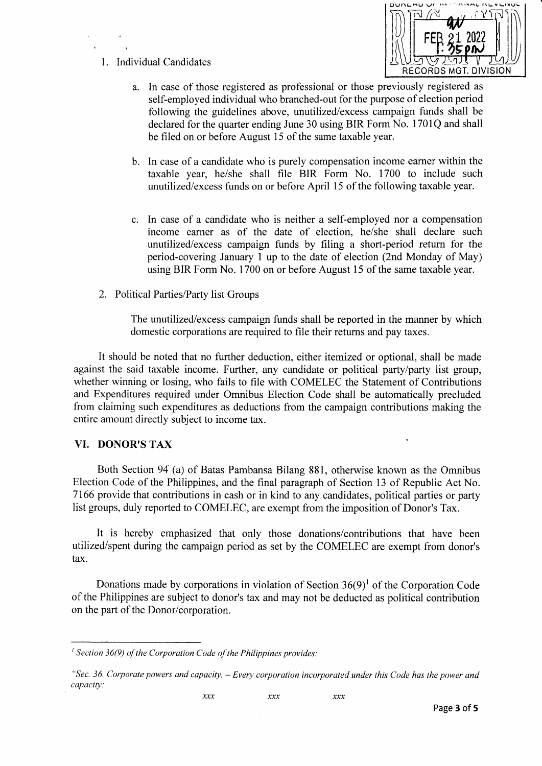}D GT. DIVISION DUNLAU UF IN ' - n in a n L v L RECORDS MGT.  $\overline{z}$ 

- 1. Individual Candidates
	- a. In case of those registered as professional or those previously registered as self-employed individual who branched-out for the purpose of election period following the guidelines above, unutilized/excess campaign funds shall be declared for the quarter ending June 30 using BIR Form No. 1701Q and shall be filed on or before August 15 of the same taxable year.
	- b. In case of a candidate who is purely compensation income earner within the taxable year, he/she shall file BIR Form No. 1700 to include such unutilized/excess funds on or before April 15 of the following taxable year.
	- c. In case of a candidate who is neither a self-employed nor a compensation income earner as of the date of election, he/she shall declare such unutilized/excess campaign funds by filing a short-period return for the period-covering January I up to the date of election (2nd Monday of May) using BIR Form No. 1700 on or before August l5 of the same taxable year.
- 2. Political Parties/Party list Groups

The unutilized/excess campaign funds shall be reported in the manner by which domestic corporations are required to file their returns and pay taxes.

It should be noted that no further deduction, either itemized or optional, shall be made against the said taxable income. Further, any candidate or political party/party list group, whether winning or losing, who fails to file with COMELEC the Statement of Contributions and Expenditures required under Omnibus Election Code shall be automatically precluded from claiming such expenditures as deductions from the campaign contributions making the entire amount directly subject to income tax.

# VI. DONOR'S TAX

Both Section 94 (a) of Batas Pambansa Bilang 881, otherwise known as the Omnibus Election Code of the Philippines, and the final paragraph of Section 13 of Republic Act No. 7166 provide that contributions in cash or in kind to any candidates, political parties or party list groups, duly reported to COMELEC, are exempt from the imposition of Donor's Tax.

It is hereby emphasized that only those donations/contributions that have been utilized/spent during the campaign period as set by the COMELEC are exempt from donor's tax.

Donations made by corporations in violation of Section  $36(9)^1$  of the Corporation Code of the Philippines are subject to donor's tax and may not be deducted as political contribution on the part of the Donor/corporation.

<sup>&</sup>lt;sup>1</sup> Section 36(9) of the Corporation Code of the Philippines provides:

<sup>&</sup>quot;Sec. 36. Corporate powers and capacity. - Every corporation incorporated under this Code has the power and capacity: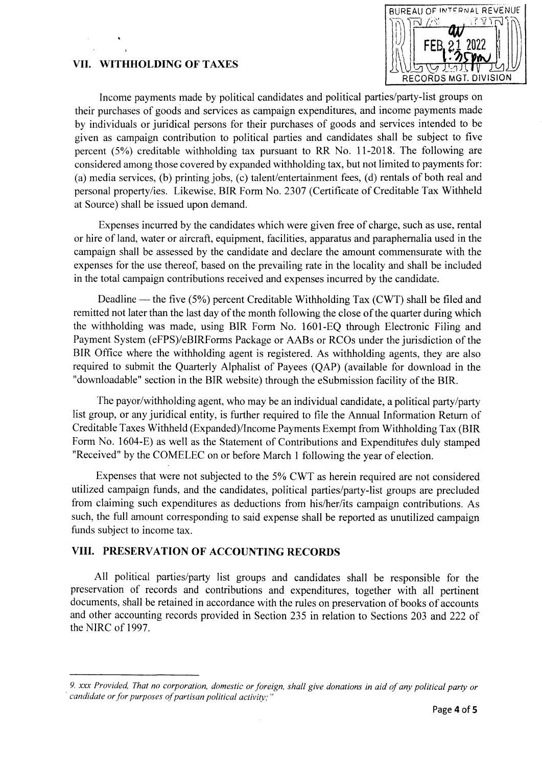# VII. WITHHOLDING OF TAXES

,l



Income payments made by political candidates and political parties/party-list groups on their purchases of goods and services as campaign expenditures, and income payments made by individuals or juridical persons for their purchases of goods and services intended to be given as campaign contribution to political parties and candidates shall be subject to five percent (5%) creditable withholding tax pursuant to RR No. ll-2018. The following are considered among those covered by expanded withholding tax, but not limited to payments for: (a) media services, (b) printing jobs, (c) talent/entertainment fees, (d) rentals of both real and personal property/ies. Likewise, BIR Form No. 2307 (Certiftcate of Creditable Tax Withheld at Source) shall be issued upon demand.

Expenses incurred by the candidates which were given free of charge, such as use, rental or hire of land, water or aircraft, equipment, facilities , apparatus and paraphernalia used in the campaign shall be assessed by the candidate and declare the amount commensurate with the expenses for the use thereof, based on the prevailing rate in the locality and shall be included in the total campaign contributions received and expenses incurred by the candidate.

Deadline — the five (5%) percent Creditable Withholding Tax (CWT) shall be filed and Deadline — the five (576) percent Creditable withholding t ax (CWT) shart be filed and<br>remitted not later than the last day of the month following the close of the quarter during which the withholding was made, using BIR Form No. 1601-EQ through Electronic Filing and Payment System (eFPS)/eBIRForms Package or AABs or RCOs under the jurisdiction of the BIR Office where the withholding agent is registered. As withholding agents, they are also required to submit the Quarterly Alphalist of Payees (QAP) (available for download in the "downloadable" section in the BIR website) through the esubmission facility of the BIR.

The payor/withholding agent, who may be an individual candidate, a political party/party list group, or any juridical entity, is further required to file the Annual Information Return of Creditable Taxes Withheld (Expanded)/Income Payments Exempt from Withholding Tax (BIR Form No. 1604-E) as well as the Statement of Contributions and Expenditures duly stamped "Received" by the COMELEC on or before March I following the year of election.

Expenses that were not subjected to the 5% CWT as herein required are not considered utilized campaign funds, and the candidates, political parties/party-list groups are precluded from claiming such expenditures as deductions from his/her/its campaign contributions. As such, the full amount corresponding to said expense shall be reported as unutilized campaign funds subject to income tax.

#### VIII. PRESERVATION OF ACCOUNTING RECORDS

All political parties/party list groups and candidates shall be responsible for the preservation of records and contributions and expenditures, together with all pertinent documents, shall be retained in accordance with the rules on preservation of books of accounts and other accounting records provided in Section 235 in relation to Sections 203 and 222 of the NIRC of 1997.

<sup>9.</sup> xxx Provided, That no corporation, domestic or foreign, shall give donations in aid of any political party or candidate or for purposes of partisan political activity;'